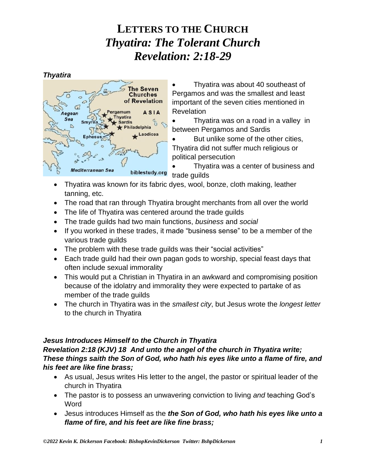*Thyatira*



• Thyatira was about 40 southeast of Pergamos and was the smallest and least important of the seven cities mentioned in Revelation

• Thyatira was on a road in a valley in between Pergamos and Sardis

But unlike some of the other cities, Thyatira did not suffer much religious or political persecution

• Thyatira was a center of business and trade guilds

- Thyatira was known for its fabric dyes, wool, bonze, cloth making, leather tanning, etc.
- The road that ran through Thyatira brought merchants from all over the world
- The life of Thyatira was centered around the trade guilds
- The trade guilds had two main functions, *business* and *social*
- If you worked in these trades, it made "business sense" to be a member of the various trade guilds
- The problem with these trade quilds was their "social activities"
- Each trade guild had their own pagan gods to worship, special feast days that often include sexual immorality
- This would put a Christian in Thyatira in an awkward and compromising position because of the idolatry and immorality they were expected to partake of as member of the trade guilds
- The church in Thyatira was in the *smallest city*, but Jesus wrote the *longest letter* to the church in Thyatira

### *Jesus Introduces Himself to the Church in Thyatira*

### *Revelation 2:18 (KJV) 18 And unto the angel of the church in Thyatira write; These things saith the Son of God, who hath his eyes like unto a flame of fire, and his feet are like fine brass;*

- As usual, Jesus writes His letter to the angel, the pastor or spiritual leader of the church in Thyatira
- The pastor is to possess an unwavering conviction to living *and* teaching God's Word
- Jesus introduces Himself as the *the Son of God, who hath his eyes like unto a flame of fire, and his feet are like fine brass;*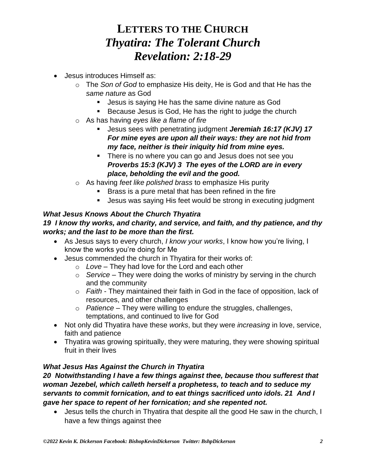- Jesus introduces Himself as:
	- o The *Son of God* to emphasize His deity, He is God and that He has the *same nature* as God
		- Jesus is saying He has the same divine nature as God
		- Because Jesus is God, He has the right to judge the church
	- o As has having *eyes like a flame of fire*
		- Jesus sees with penetrating judgment *Jeremiah 16:17 (KJV) 17 For mine eyes are upon all their ways: they are not hid from my face, neither is their iniquity hid from mine eyes.*
		- There is no where you can go and Jesus does not see you *Proverbs 15:3 (KJV) 3 The eyes of the LORD are in every place, beholding the evil and the good.*
	- o As having *feet like polished brass* to emphasize His purity
		- **EXALUTE:** Brass is a pure metal that has been refined in the fire
		- Jesus was saying His feet would be strong in executing judgment

#### *What Jesus Knows About the Church Thyatira 19 I know thy works, and charity, and service, and faith, and thy patience, and thy works; and the last to be more than the first.*

- As Jesus says to every church, *I know your works*, I know how you're living, I know the works you're doing for Me
- Jesus commended the church in Thyatira for their works of:
	- o *Love* They had love for the Lord and each other
	- o *Service* They were doing the works of ministry by serving in the church and the community
	- o *Faith* They maintained their faith in God in the face of opposition, lack of resources, and other challenges
	- o *Patience* They were willing to endure the struggles, challenges, temptations, and continued to live for God
- Not only did Thyatira have these *works*, but they were *increasing* in love, service, faith and patience
- Thyatira was growing spiritually, they were maturing, they were showing spiritual fruit in their lives

### *What Jesus Has Against the Church in Thyatira*

#### *20 Notwithstanding I have a few things against thee, because thou sufferest that woman Jezebel, which calleth herself a prophetess, to teach and to seduce my servants to commit fornication, and to eat things sacrificed unto idols. 21 And I gave her space to repent of her fornication; and she repented not.*

• Jesus tells the church in Thyatira that despite all the good He saw in the church, I have a few things against thee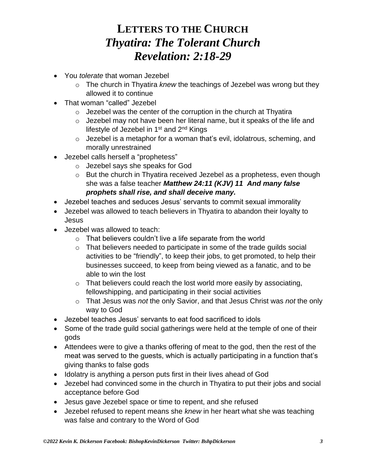- You *tolerate* that woman Jezebel
	- o The church in Thyatira *knew* the teachings of Jezebel was wrong but they allowed it to continue
- That woman "called" Jezebel
	- $\circ$  Jezebel was the center of the corruption in the church at Thyatira
	- $\circ$  Jezebel may not have been her literal name, but it speaks of the life and lifestyle of Jezebel in  $1<sup>st</sup>$  and  $2<sup>nd</sup>$  Kings
	- o Jezebel is a metaphor for a woman that's evil, idolatrous, scheming, and morally unrestrained
- Jezebel calls herself a "prophetess"
	- o Jezebel says she speaks for God
	- o But the church in Thyatira received Jezebel as a prophetess, even though she was a false teacher *Matthew 24:11 (KJV) 11 And many false prophets shall rise, and shall deceive many.*
- Jezebel teaches and seduces Jesus' servants to commit sexual immorality
- Jezebel was allowed to teach believers in Thyatira to abandon their loyalty to Jesus
- Jezebel was allowed to teach:
	- $\circ$  That believers couldn't live a life separate from the world
	- o That believers needed to participate in some of the trade guilds social activities to be "friendly", to keep their jobs, to get promoted, to help their businesses succeed, to keep from being viewed as a fanatic, and to be able to win the lost
	- o That believers could reach the lost world more easily by associating, fellowshipping, and participating in their social activities
	- o That Jesus was *not* the only Savior, and that Jesus Christ was *not* the only way to God
- Jezebel teaches Jesus' servants to eat food sacrificed to idols
- Some of the trade guild social gatherings were held at the temple of one of their gods
- Attendees were to give a thanks offering of meat to the god, then the rest of the meat was served to the guests, which is actually participating in a function that's giving thanks to false gods
- Idolatry is anything a person puts first in their lives ahead of God
- Jezebel had convinced some in the church in Thyatira to put their jobs and social acceptance before God
- Jesus gave Jezebel space or time to repent, and she refused
- Jezebel refused to repent means she *knew* in her heart what she was teaching was false and contrary to the Word of God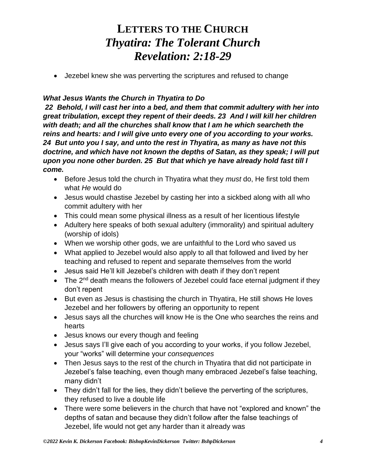• Jezebel knew she was perverting the scriptures and refused to change

#### *What Jesus Wants the Church in Thyatira to Do*

*22 Behold, I will cast her into a bed, and them that commit adultery with her into great tribulation, except they repent of their deeds. 23 And I will kill her children with death; and all the churches shall know that I am he which searcheth the reins and hearts: and I will give unto every one of you according to your works. 24 But unto you I say, and unto the rest in Thyatira, as many as have not this doctrine, and which have not known the depths of Satan, as they speak; I will put upon you none other burden. 25 But that which ye have already hold fast till I come.* 

- Before Jesus told the church in Thyatira what they *must* do, He first told them what *He* would do
- Jesus would chastise Jezebel by casting her into a sickbed along with all who commit adultery with her
- This could mean some physical illness as a result of her licentious lifestyle
- Adultery here speaks of both sexual adultery (immorality) and spiritual adultery (worship of idols)
- When we worship other gods, we are unfaithful to the Lord who saved us
- What applied to Jezebel would also apply to all that followed and lived by her teaching and refused to repent and separate themselves from the world
- Jesus said He'll kill Jezebel's children with death if they don't repent
- $\bullet$  The 2<sup>nd</sup> death means the followers of Jezebel could face eternal judgment if they don't repent
- But even as Jesus is chastising the church in Thyatira, He still shows He loves Jezebel and her followers by offering an opportunity to repent
- Jesus says all the churches will know He is the One who searches the reins and hearts
- Jesus knows our every though and feeling
- Jesus says I'll give each of you according to your works, if you follow Jezebel, your "works" will determine your *consequences*
- Then Jesus says to the rest of the church in Thyatira that did not participate in Jezebel's false teaching, even though many embraced Jezebel's false teaching, many didn't
- They didn't fall for the lies, they didn't believe the perverting of the scriptures, they refused to live a double life
- There were some believers in the church that have not "explored and known" the depths of satan and because they didn't follow after the false teachings of Jezebel, life would not get any harder than it already was